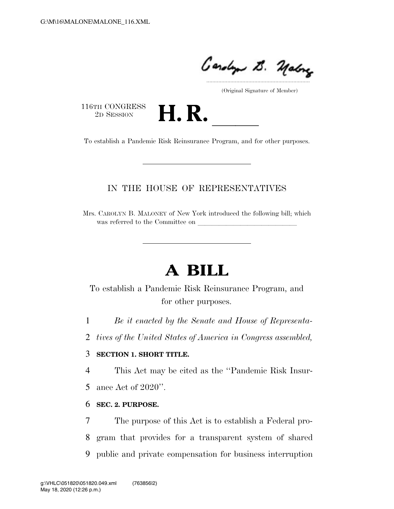.....................................................................

(Original Signature of Member)

116TH CONGRESS<br>2D SESSION



116TH CONGRESS<br>
2D SESSION<br>
To establish a Pandemic Risk Reinsurance Program, and for other purposes.

## IN THE HOUSE OF REPRESENTATIVES

Mrs. CAROLYN B. MALONEY of New York introduced the following bill; which was referred to the Committee on

# **A BILL**

To establish a Pandemic Risk Reinsurance Program, and for other purposes.

1 *Be it enacted by the Senate and House of Representa-*

2 *tives of the United States of America in Congress assembled,* 

### 3 **SECTION 1. SHORT TITLE.**

4 This Act may be cited as the ''Pandemic Risk Insur-

5 ance Act of 2020''.

#### 6 **SEC. 2. PURPOSE.**

7 The purpose of this Act is to establish a Federal pro-8 gram that provides for a transparent system of shared 9 public and private compensation for business interruption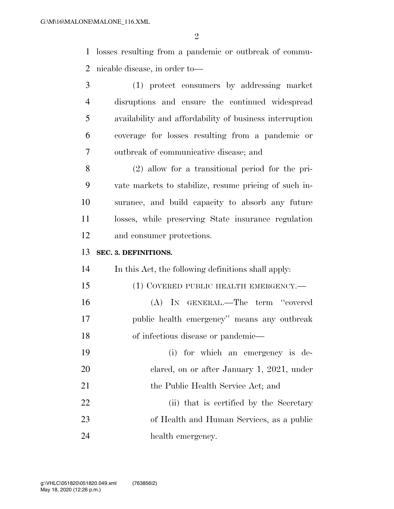$\mathfrak{D}$ 

 losses resulting from a pandemic or outbreak of commu-nicable disease, in order to—

 (1) protect consumers by addressing market disruptions and ensure the continued widespread availability and affordability of business interruption coverage for losses resulting from a pandemic or outbreak of communicative disease; and

 (2) allow for a transitional period for the pri- vate markets to stabilize, resume pricing of such in- surance, and build capacity to absorb any future losses, while preserving State insurance regulation and consumer protections.

#### **SEC. 3. DEFINITIONS.**

In this Act, the following definitions shall apply:

- 15 (1) COVERED PUBLIC HEALTH EMERGENCY.— (A) IN GENERAL.—The term ''covered public health emergency'' means any outbreak of infectious disease or pandemic—
- (i) for which an emergency is de- clared, on or after January 1, 2021, under 21 the Public Health Service Act; and 22 (ii) that is certified by the Secretary of Health and Human Services, as a public 24 health emergency.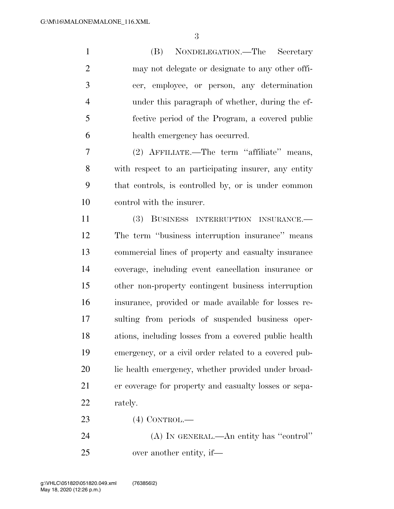(B) NONDELEGATION.—The Secretary may not delegate or designate to any other offi- cer, employee, or person, any determination under this paragraph of whether, during the ef- fective period of the Program, a covered public health emergency has occurred.

 (2) AFFILIATE.—The term ''affiliate'' means, with respect to an participating insurer, any entity that controls, is controlled by, or is under common control with the insurer.

 (3) BUSINESS INTERRUPTION INSURANCE.— The term ''business interruption insurance'' means commercial lines of property and casualty insurance coverage, including event cancellation insurance or other non-property contingent business interruption insurance, provided or made available for losses re- sulting from periods of suspended business oper- ations, including losses from a covered public health emergency, or a civil order related to a covered pub-20 lic health emergency, whether provided under broad- er coverage for property and casualty losses or sepa-rately.

(4) CONTROL.—

 (A) IN GENERAL.—An entity has ''control'' over another entity, if—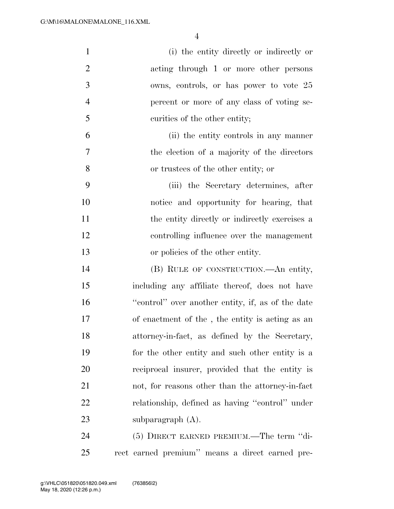| $\mathbf{1}$   | (i) the entity directly or indirectly or          |
|----------------|---------------------------------------------------|
| $\overline{2}$ | acting through 1 or more other persons            |
| 3              | owns, controls, or has power to vote 25           |
| $\overline{4}$ | percent or more of any class of voting se-        |
| 5              | curities of the other entity;                     |
| 6              | (ii) the entity controls in any manner            |
| 7              | the election of a majority of the directors       |
| 8              | or trustees of the other entity; or               |
| 9              | (iii) the Secretary determines, after             |
| 10             | notice and opportunity for hearing, that          |
| 11             | the entity directly or indirectly exercises a     |
| 12             | controlling influence over the management         |
| 13             | or policies of the other entity.                  |
| 14             | (B) RULE OF CONSTRUCTION.—An entity,              |
| 15             | including any affiliate thereof, does not have    |
| 16             | "control" over another entity, if, as of the date |
| 17             | of enactment of the, the entity is acting as an   |
| 18             | attorney-in-fact, as defined by the Secretary,    |
| 19             | for the other entity and such other entity is a   |
| 20             | reciprocal insurer, provided that the entity is   |
| 21             | not, for reasons other than the attorney-in-fact  |
| 22             | relationship, defined as having "control" under   |
| 23             | subparagraph (A).                                 |
| 24             | (5) DIRECT EARNED PREMIUM.—The term "di-          |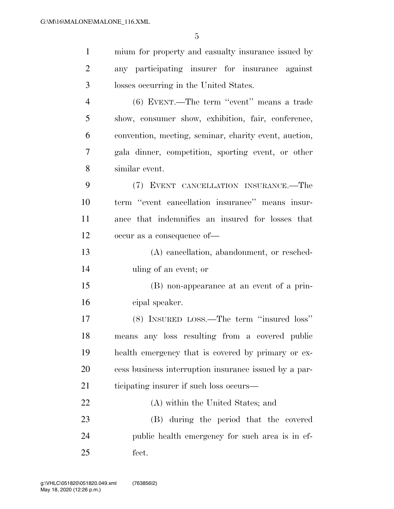| $\mathbf{1}$   | mium for property and casualty insurance issued by    |
|----------------|-------------------------------------------------------|
| $\overline{2}$ | any participating insurer for insurance against       |
| 3              | losses occurring in the United States.                |
| $\overline{4}$ | (6) EVENT.—The term "event" means a trade             |
| 5              | show, consumer show, exhibition, fair, conference,    |
| 6              | convention, meeting, seminar, charity event, auction, |
| 7              | gala dinner, competition, sporting event, or other    |
| 8              | similar event.                                        |
| 9              | (7) EVENT CANCELLATION INSURANCE.—The                 |
| 10             | term "event cancellation insurance" means insur-      |
| 11             | ance that indemnifies an insured for losses that      |
| 12             | occur as a consequence of-                            |
| 13             | (A) cancellation, abandonment, or resched-            |
| 14             | uling of an event; or                                 |
| 15             | (B) non-appearance at an event of a prin-             |
| 16             | cipal speaker.                                        |
| 17             | (8) INSURED LOSS.—The term "insured loss"             |
| 18             | means any loss resulting from a covered public        |
| 19             | health emergency that is covered by primary or ex-    |
| 20             | cess business interruption insurance issued by a par- |
| 21             | ticipating insurer if such loss occurs—               |
| 22             | (A) within the United States; and                     |
| 23             | (B) during the period that the covered                |
| 24             | public health emergency for such area is in ef-       |
| 25             | fect.                                                 |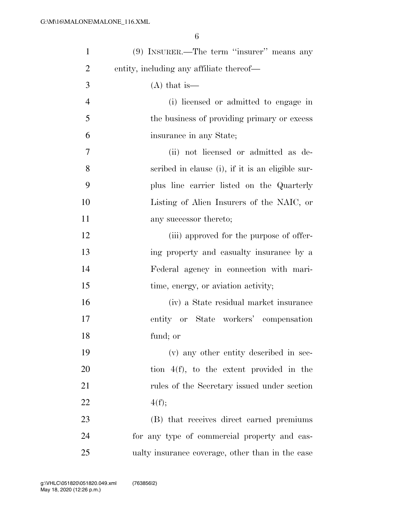| $\mathbf{1}$   | $(9)$ INSURER.—The term "insurer" means any      |
|----------------|--------------------------------------------------|
| $\overline{2}$ | entity, including any affiliate thereof—         |
| 3              | $(A)$ that is —                                  |
| $\overline{4}$ | (i) licensed or admitted to engage in            |
| 5              | the business of providing primary or excess      |
| 6              | insurance in any State;                          |
| 7              | (ii) not licensed or admitted as de-             |
| 8              | scribed in clause (i), if it is an eligible sur- |
| 9              | plus line carrier listed on the Quarterly        |
| 10             | Listing of Alien Insurers of the NAIC, or        |
| 11             | any successor thereto;                           |
| 12             | (iii) approved for the purpose of offer-         |
| 13             | ing property and casualty insurance by a         |
| 14             | Federal agency in connection with mari-          |
| 15             | time, energy, or aviation activity;              |
| 16             | (iv) a State residual market insurance           |
| 17             | entity or State workers' compensation            |
| 18             | fund; or                                         |
| 19             | (v) any other entity described in sec-           |
| 20             | tion $4(f)$ , to the extent provided in the      |
| 21             | rules of the Secretary issued under section      |
| 22             | 4(f);                                            |
| 23             | (B) that receives direct earned premiums         |
| 24             | for any type of commercial property and cas-     |
| 25             | ualty insurance coverage, other than in the case |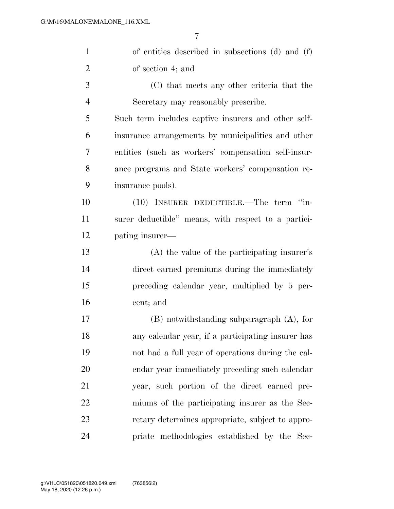| $\mathbf{1}$   | of entities described in subsections (d) and (f)    |
|----------------|-----------------------------------------------------|
| $\overline{2}$ | of section 4; and                                   |
| 3              | (C) that meets any other criteria that the          |
| $\overline{4}$ | Secretary may reasonably prescribe.                 |
| 5              | Such term includes captive insurers and other self- |
| 6              | insurance arrangements by municipalities and other  |
| $\tau$         | entities (such as workers' compensation self-insur- |
| 8              | ance programs and State workers' compensation re-   |
| 9              | insurance pools).                                   |
| 10             | (10) INSURER DEDUCTIBLE.—The term "in-              |
| 11             | surer deductible" means, with respect to a partici- |
| 12             | pating insurer—                                     |
| 13             | (A) the value of the participating insurer's        |
| 14             | direct earned premiums during the immediately       |
| 15             | preceding calendar year, multiplied by 5 per-       |
| 16             | cent; and                                           |
| 17             | $(B)$ notwithstanding subparagraph $(A)$ , for      |
| 18             | any calendar year, if a participating insurer has   |
| 19             | not had a full year of operations during the cal-   |
| 20             | endar year immediately preceding such calendar      |
| 21             | year, such portion of the direct earned pre-        |
| 22             | miums of the participating insurer as the Sec-      |
| 23             | retary determines appropriate, subject to appro-    |
| 24             | priate methodologies established by the Sec-        |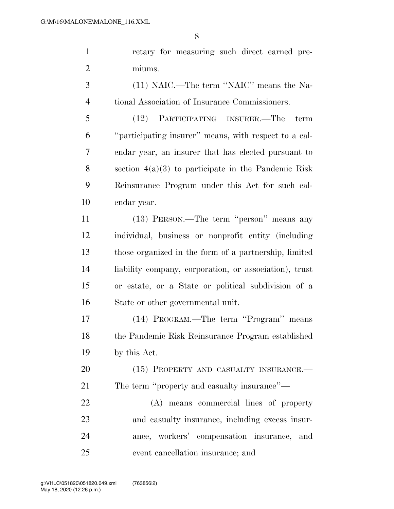retary for measuring such direct earned pre- miums. (11) NAIC.—The term ''NAIC'' means the Na- tional Association of Insurance Commissioners. (12) PARTICIPATING INSURER.—The term

 ''participating insurer'' means, with respect to a cal- endar year, an insurer that has elected pursuant to section 4(a)(3) to participate in the Pandemic Risk Reinsurance Program under this Act for such cal-endar year.

 (13) PERSON.—The term ''person'' means any individual, business or nonprofit entity (including those organized in the form of a partnership, limited liability company, corporation, or association), trust or estate, or a State or political subdivision of a State or other governmental unit.

 (14) PROGRAM.—The term ''Program'' means the Pandemic Risk Reinsurance Program established by this Act.

20 (15) PROPERTY AND CASUALTY INSURANCE. The term ''property and casualty insurance''—

 (A) means commercial lines of property and casualty insurance, including excess insur- ance, workers' compensation insurance, and event cancellation insurance; and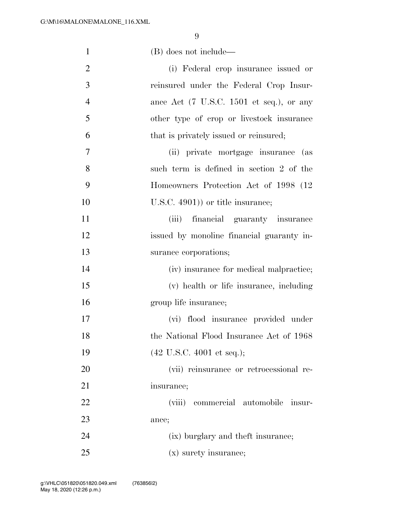| $\mathbf{1}$   | (B) does not include—                                               |
|----------------|---------------------------------------------------------------------|
| $\overline{2}$ | (i) Federal crop insurance issued or                                |
| 3              | reinsured under the Federal Crop Insur-                             |
| $\overline{4}$ | ance Act $(7 \text{ U.S.C. } 1501 \text{ et seq.}), \text{ or any}$ |
| 5              | other type of crop or livestock insurance                           |
| 6              | that is privately issued or reinsured;                              |
| 7              | (ii) private mortgage insurance (as                                 |
| 8              | such term is defined in section 2 of the                            |
| 9              | Homeowners Protection Act of 1998 (12)                              |
| 10             | $($ U.S.C. 4901) or title insurance;                                |
| 11             | (iii) financial guaranty insurance                                  |
| 12             | issued by monoline financial guaranty in-                           |
| 13             | surance corporations;                                               |
| 14             | (iv) insurance for medical malpractice;                             |
| 15             | (v) health or life insurance, including                             |
| 16             | group life insurance;                                               |
| 17             | (vi) flood insurance provided under                                 |
| 18             | the National Flood Insurance Act of 1968                            |
| 19             | $(42 \text{ U.S.C. } 4001 \text{ et seq.});$                        |
| 20             | (vii) reinsurance or retrocessional re-                             |
| 21             | insurance;                                                          |
| 22             | (viii) commercial automobile insur-                                 |
| 23             | ance;                                                               |
| 24             | (ix) burglary and theft insurance;                                  |
| 25             | (x) surety insurance;                                               |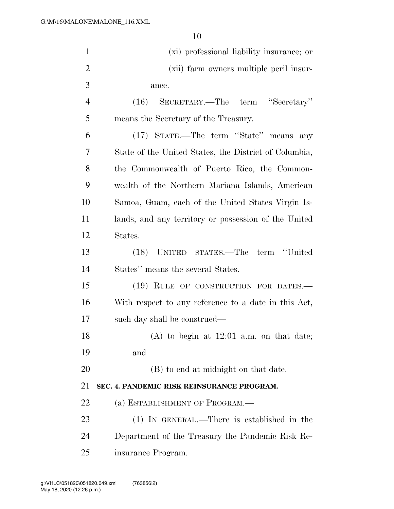| $\mathbf{1}$   | (xi) professional liability insurance; or             |
|----------------|-------------------------------------------------------|
| $\overline{2}$ | (xii) farm owners multiple peril insur-               |
| 3              | ance.                                                 |
| $\overline{4}$ | (16) SECRETARY.—The term "Secretary"                  |
| 5              | means the Secretary of the Treasury.                  |
| 6              | (17) STATE.—The term "State" means any                |
| 7              | State of the United States, the District of Columbia, |
| 8              | the Commonwealth of Puerto Rico, the Common-          |
| 9              | wealth of the Northern Mariana Islands, American      |
| 10             | Samoa, Guam, each of the United States Virgin Is-     |
| 11             | lands, and any territory or possession of the United  |
| 12             | States.                                               |
| 13             | (18) UNITED STATES.—The term "United                  |
| 14             | States" means the several States.                     |
| 15             | (19) RULE OF CONSTRUCTION FOR DATES.—                 |
| 16             | With respect to any reference to a date in this Act,  |
| 17             | such day shall be construed—                          |
| 18             | $(A)$ to begin at 12:01 a.m. on that date;            |
| 19             | and                                                   |
| 20             | (B) to end at midnight on that date.                  |
| 21             | SEC. 4. PANDEMIC RISK REINSURANCE PROGRAM.            |
| 22             | (a) ESTABLISHMENT OF PROGRAM.—                        |
| 23             | $(1)$ IN GENERAL.—There is established in the         |
| 24             | Department of the Treasury the Pandemic Risk Re-      |
| 25             | insurance Program.                                    |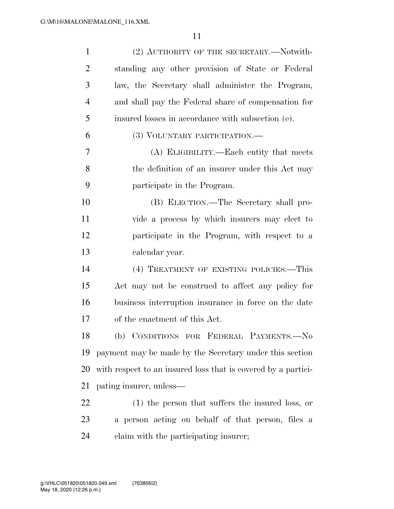| $\mathbf{1}$   | (2) AUTHORITY OF THE SECRETARY.—Notwith-                      |
|----------------|---------------------------------------------------------------|
| $\overline{2}$ | standing any other provision of State or Federal              |
| 3              | law, the Secretary shall administer the Program,              |
| 4              | and shall pay the Federal share of compensation for           |
| 5              | insured losses in accordance with subsection (e).             |
| 6              | (3) VOLUNTARY PARTICIPATION.—                                 |
| $\overline{7}$ | (A) ELIGIBILITY.—Each entity that meets                       |
| 8              | the definition of an insurer under this Act may               |
| 9              | participate in the Program.                                   |
| 10             | (B) ELECTION.—The Secretary shall pro-                        |
| 11             | vide a process by which insurers may elect to                 |
| 12             | participate in the Program, with respect to a                 |
| 13             | calendar year.                                                |
| 14             | (4) TREATMENT OF EXISTING POLICIES.—This                      |
| 15             | Act may not be construed to affect any policy for             |
| 16             | business interruption insurance in force on the date          |
| 17             | of the enactment of this Act.                                 |
| 18             | (b) CONDITIONS FOR FEDERAL PAYMENTS.-No                       |
| 19             | payment may be made by the Secretary under this section       |
| <b>20</b>      | with respect to an insured loss that is covered by a partici- |
| 21             | pating insurer, unless—                                       |
| 22             | $(1)$ the person that suffers the insured loss, or            |
| 23             | a person acting on behalf of that person, files a             |
| 24             | claim with the participating insurer;                         |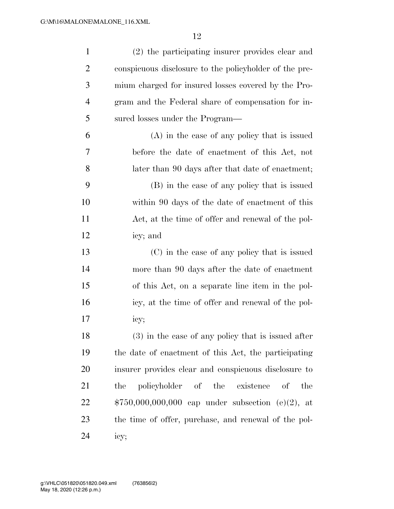| $\mathbf{1}$   | (2) the participating insurer provides clear and       |
|----------------|--------------------------------------------------------|
| $\overline{2}$ | conspicuous disclosure to the policyholder of the pre- |
| 3              | mium charged for insured losses covered by the Pro-    |
| $\overline{4}$ | gram and the Federal share of compensation for in-     |
| 5              | sured losses under the Program—                        |
| 6              | (A) in the case of any policy that is issued           |
| 7              | before the date of enactment of this Act, not          |
| 8              | later than 90 days after that date of enactment;       |
| 9              | (B) in the case of any policy that is issued           |
| 10             | within 90 days of the date of enactment of this        |
| 11             | Act, at the time of offer and renewal of the pol-      |
| 12             | icy; and                                               |
| 13             | (C) in the case of any policy that is issued           |
| 14             | more than 90 days after the date of enactment          |
| 15             | of this Act, on a separate line item in the pol-       |
| 16             | icy, at the time of offer and renewal of the pol-      |
| 17             | icy;                                                   |
| 18             | $(3)$ in the case of any policy that is issued after   |
| 19             | the date of enactment of this Act, the participating   |
| 20             | insurer provides clear and conspicuous disclosure to   |
| 21             | policyholder<br>of the existence<br>- of<br>the<br>the |
| 22             | $$750,000,000,000$ cap under subsection (e)(2), at     |
| 23             | the time of offer, purchase, and renewal of the pol-   |
| 24             | icy;                                                   |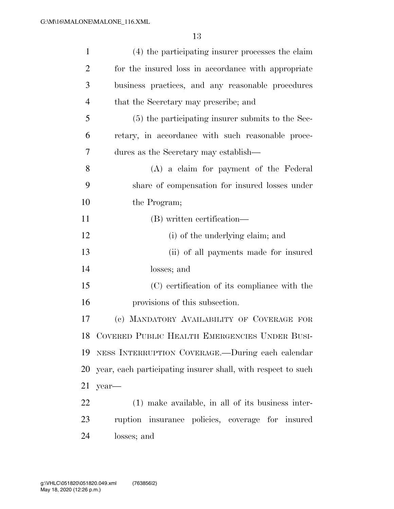| $\mathbf{1}$   | (4) the participating insurer processes the claim            |
|----------------|--------------------------------------------------------------|
| $\overline{2}$ | for the insured loss in accordance with appropriate          |
| 3              | business practices, and any reasonable procedures            |
| $\overline{4}$ | that the Secretary may prescribe; and                        |
| 5              | (5) the participating insurer submits to the Sec-            |
| 6              | retary, in accordance with such reasonable proce-            |
| 7              | dures as the Secretary may establish—                        |
| 8              | (A) a claim for payment of the Federal                       |
| 9              | share of compensation for insured losses under               |
| 10             | the Program;                                                 |
| 11             | (B) written certification—                                   |
| 12             | (i) of the underlying claim; and                             |
| 13             | (ii) of all payments made for insured                        |
| 14             | losses; and                                                  |
| 15             | (C) certification of its compliance with the                 |
| 16             | provisions of this subsection.                               |
| 17             | (c) MANDATORY AVAILABILITY OF COVERAGE FOR                   |
|                | 18 COVERED PUBLIC HEALTH EMERGENCIES UNDER BUSI-             |
| 19             | NESS INTERRUPTION COVERAGE.—During each calendar             |
| 20             | year, each participating insurer shall, with respect to such |
| 21             | year-                                                        |
| 22             | $(1)$ make available, in all of its business inter-          |
| 23             | ruption insurance policies, coverage for insured             |
| 24             | losses; and                                                  |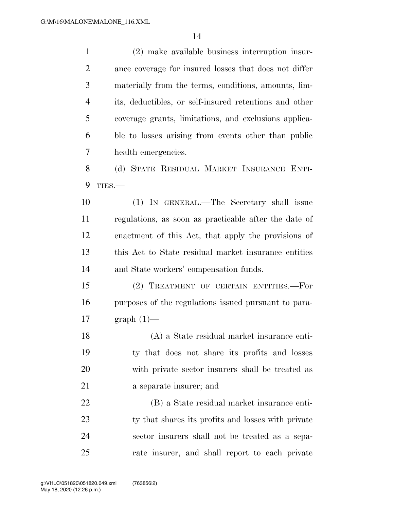(2) make available business interruption insur- ance coverage for insured losses that does not differ materially from the terms, conditions, amounts, lim- its, deductibles, or self-insured retentions and other coverage grants, limitations, and exclusions applica- ble to losses arising from events other than public health emergencies. (d) STATE RESIDUAL MARKET INSURANCE ENTI- TIES.— (1) IN GENERAL.—The Secretary shall issue regulations, as soon as practicable after the date of enactment of this Act, that apply the provisions of this Act to State residual market insurance entities and State workers' compensation funds. (2) TREATMENT OF CERTAIN ENTITIES.—For purposes of the regulations issued pursuant to para- graph (1)— (A) a State residual market insurance enti- ty that does not share its profits and losses with private sector insurers shall be treated as a separate insurer; and (B) a State residual market insurance enti-23 ty that shares its profits and losses with private sector insurers shall not be treated as a sepa-rate insurer, and shall report to each private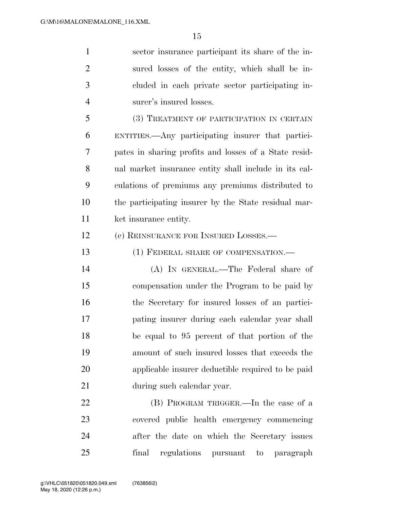sector insurance participant its share of the in- sured losses of the entity, which shall be in- cluded in each private sector participating in- surer's insured losses. (3) TREATMENT OF PARTICIPATION IN CERTAIN ENTITIES.—Any participating insurer that partici- pates in sharing profits and losses of a State resid- ual market insurance entity shall include in its cal- culations of premiums any premiums distributed to the participating insurer by the State residual mar- ket insurance entity. (e) REINSURANCE FOR INSURED LOSSES.— 13 (1) FEDERAL SHARE OF COMPENSATION.— (A) IN GENERAL.—The Federal share of

 compensation under the Program to be paid by the Secretary for insured losses of an partici- pating insurer during each calendar year shall be equal to 95 percent of that portion of the amount of such insured losses that exceeds the applicable insurer deductible required to be paid during such calendar year.

 (B) PROGRAM TRIGGER.—In the case of a covered public health emergency commencing after the date on which the Secretary issues final regulations pursuant to paragraph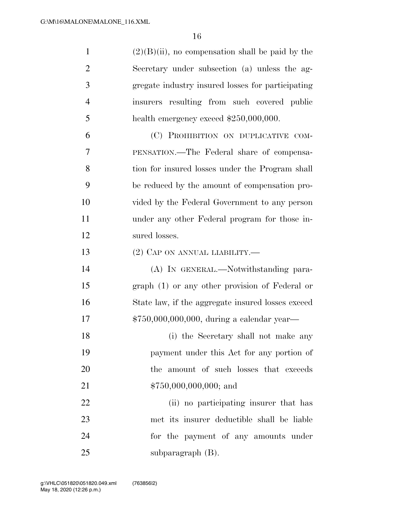| $\mathbf{1}$   | $(2)(B)(ii)$ , no compensation shall be paid by the |
|----------------|-----------------------------------------------------|
| $\overline{2}$ | Secretary under subsection (a) unless the ag-       |
| 3              | gregate industry insured losses for participating   |
| $\overline{4}$ | insurers resulting from such covered public         |
| 5              | health emergency exceed $$250,000,000$ .            |
| 6              | (C) PROHIBITION ON DUPLICATIVE COM-                 |
| 7              | PENSATION.—The Federal share of compensa-           |
| 8              | tion for insured losses under the Program shall     |
| 9              | be reduced by the amount of compensation pro-       |
| 10             | vided by the Federal Government to any person       |
| 11             | under any other Federal program for those in-       |
| 12             | sured losses.                                       |
| 13             | $(2)$ CAP ON ANNUAL LIABILITY.—                     |
| 14             | (A) IN GENERAL.—Notwithstanding para-               |
| 15             | graph (1) or any other provision of Federal or      |
| 16             | State law, if the aggregate insured losses exceed   |
| 17             | $$750,000,000,000,$ during a calendar year-         |
| 18             | (i) the Secretary shall not make any                |
| 19             | payment under this Act for any portion of           |
| 20             | the amount of such losses that exceeds              |
| 21             | $$750,000,000,000;$ and                             |
| 22             | (ii) no participating insurer that has              |
| 23             | met its insurer deductible shall be liable          |
| 24             | for the payment of any amounts under                |
| 25             | subparagraph $(B)$ .                                |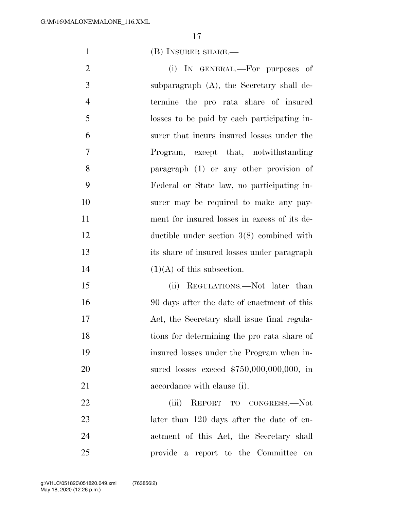(B) INSURER SHARE.—

2 (i) IN GENERAL.—For purposes of subparagraph (A), the Secretary shall de- termine the pro rata share of insured losses to be paid by each participating in- surer that incurs insured losses under the Program, except that, notwithstanding paragraph (1) or any other provision of Federal or State law, no participating in- surer may be required to make any pay- ment for insured losses in excess of its de- ductible under section 3(8) combined with its share of insured losses under paragraph  $(1)(A)$  of this subsection.

15 (ii) REGULATIONS.—Not later than 90 days after the date of enactment of this Act, the Secretary shall issue final regula- tions for determining the pro rata share of insured losses under the Program when in- sured losses exceed \$750,000,000,000, in 21 accordance with clause (i).

 (iii) REPORT TO CONGRESS.—Not 23 later than 120 days after the date of en- actment of this Act, the Secretary shall provide a report to the Committee on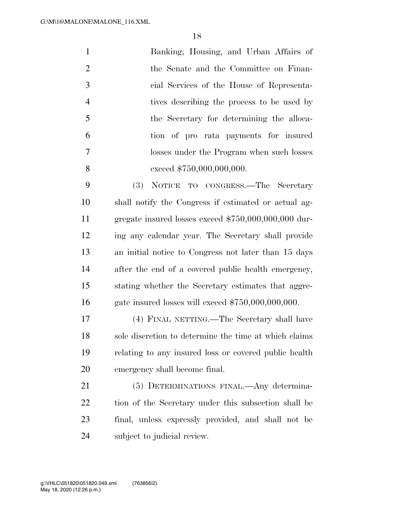| $\mathbf{1}$   | Banking, Housing, and Urban Affairs of     |
|----------------|--------------------------------------------|
| 2              | the Senate and the Committee on Finan-     |
| 3              | cial Services of the House of Representa-  |
| $\overline{4}$ | tives describing the process to be used by |
| $\overline{5}$ | the Secretary for determining the alloca-  |
| 6              | tion of pro rata payments for insured      |
| $\tau$         | losses under the Program when such losses  |
| 8              | exceed \$750,000,000,000.                  |
| $\Omega$       | (3) Notice to concerse The Secretary       |

 (3) NOTICE TO CONGRESS.—The Secretary shall notify the Congress if estimated or actual ag- gregate insured losses exceed \$750,000,000,000 dur- ing any calendar year. The Secretary shall provide an initial notice to Congress not later than 15 days after the end of a covered public health emergency, stating whether the Secretary estimates that aggre-gate insured losses will exceed \$750,000,000,000.

 (4) FINAL NETTING.—The Secretary shall have sole discretion to determine the time at which claims relating to any insured loss or covered public health emergency shall become final.

 (5) DETERMINATIONS FINAL.—Any determina- tion of the Secretary under this subsection shall be final, unless expressly provided, and shall not be subject to judicial review.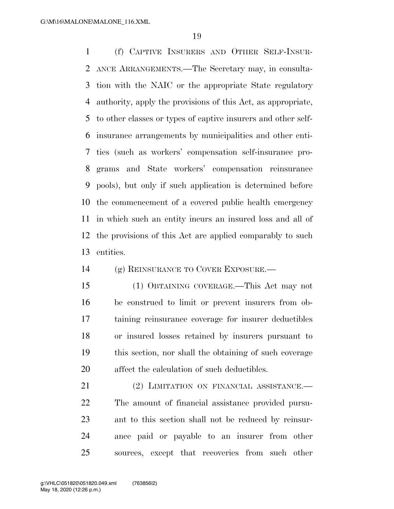(f) CAPTIVE INSURERS AND OTHER SELF-INSUR- ANCE ARRANGEMENTS.—The Secretary may, in consulta- tion with the NAIC or the appropriate State regulatory authority, apply the provisions of this Act, as appropriate, to other classes or types of captive insurers and other self- insurance arrangements by municipalities and other enti- ties (such as workers' compensation self-insurance pro- grams and State workers' compensation reinsurance pools), but only if such application is determined before the commencement of a covered public health emergency in which such an entity incurs an insured loss and all of the provisions of this Act are applied comparably to such entities.

(g) REINSURANCE TO COVER EXPOSURE.—

 (1) OBTAINING COVERAGE.—This Act may not be construed to limit or prevent insurers from ob- taining reinsurance coverage for insurer deductibles or insured losses retained by insurers pursuant to this section, nor shall the obtaining of such coverage affect the calculation of such deductibles.

21 (2) LIMITATION ON FINANCIAL ASSISTANCE. The amount of financial assistance provided pursu- ant to this section shall not be reduced by reinsur- ance paid or payable to an insurer from other sources, except that recoveries from such other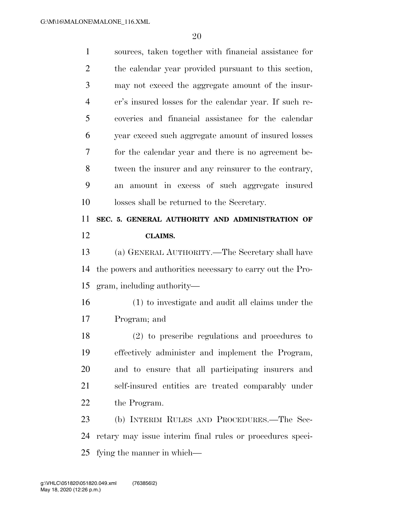| $\mathbf{1}$   | sources, taken together with financial assistance for      |
|----------------|------------------------------------------------------------|
| $\overline{2}$ | the calendar year provided pursuant to this section,       |
| 3              | may not exceed the aggregate amount of the insur-          |
| $\overline{4}$ | er's insured losses for the calendar year. If such re-     |
| 5              | coveries and financial assistance for the calendar         |
| 6              | year exceed such aggregate amount of insured losses        |
| 7              | for the calendar year and there is no agreement be-        |
| 8              | tween the insurer and any reinsurer to the contrary,       |
| 9              | amount in excess of such aggregate insured<br>an           |
| 10             | losses shall be returned to the Secretary.                 |
| 11             | SEC. 5. GENERAL AUTHORITY AND ADMINISTRATION OF            |
| 12             | <b>CLAIMS.</b>                                             |
|                |                                                            |
| 13             | (a) GENERAL AUTHORITY.—The Secretary shall have            |
| 14             | the powers and authorities necessary to carry out the Pro- |
| 15             | gram, including authority—                                 |
| 16             | (1) to investigate and audit all claims under the          |
| 17             | Program; and                                               |
| 18             | (2) to prescribe regulations and procedures to             |
| 19             | effectively administer and implement the Program,          |
| 20             | and to ensure that all participating insurers and          |
| 21             | self-insured entities are treated comparably under         |
| 22             | the Program.                                               |
| 23             | (b) INTERIM RULES AND PROCEDURES.—The Sec-                 |
| 24             | retary may issue interim final rules or procedures speci-  |

fying the manner in which—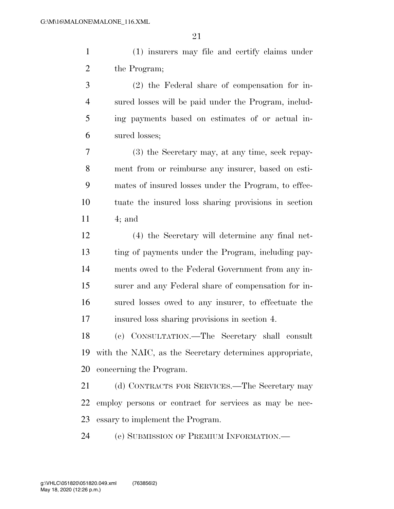(1) insurers may file and certify claims under 2 the Program;

 (2) the Federal share of compensation for in- sured losses will be paid under the Program, includ- ing payments based on estimates of or actual in-sured losses;

 (3) the Secretary may, at any time, seek repay- ment from or reimburse any insurer, based on esti- mates of insured losses under the Program, to effec- tuate the insured loss sharing provisions in section 4; and

 (4) the Secretary will determine any final net- ting of payments under the Program, including pay- ments owed to the Federal Government from any in- surer and any Federal share of compensation for in- sured losses owed to any insurer, to effectuate the insured loss sharing provisions in section 4.

 (c) CONSULTATION.—The Secretary shall consult with the NAIC, as the Secretary determines appropriate, concerning the Program.

21 (d) CONTRACTS FOR SERVICES.—The Secretary may employ persons or contract for services as may be nec-essary to implement the Program.

(e) SUBMISSION OF PREMIUM INFORMATION.—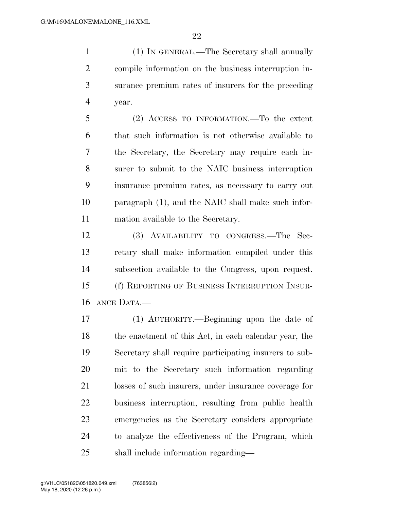(1) IN GENERAL.—The Secretary shall annually compile information on the business interruption in- surance premium rates of insurers for the preceding year.

 (2) ACCESS TO INFORMATION.—To the extent that such information is not otherwise available to the Secretary, the Secretary may require each in- surer to submit to the NAIC business interruption insurance premium rates, as necessary to carry out paragraph (1), and the NAIC shall make such infor-mation available to the Secretary.

 (3) AVAILABILITY TO CONGRESS.—The Sec- retary shall make information compiled under this subsection available to the Congress, upon request. (f) REPORTING OF BUSINESS INTERRUPTION INSUR-ANCE DATA.—

 (1) AUTHORITY.—Beginning upon the date of the enactment of this Act, in each calendar year, the Secretary shall require participating insurers to sub- mit to the Secretary such information regarding losses of such insurers, under insurance coverage for business interruption, resulting from public health emergencies as the Secretary considers appropriate to analyze the effectiveness of the Program, which shall include information regarding—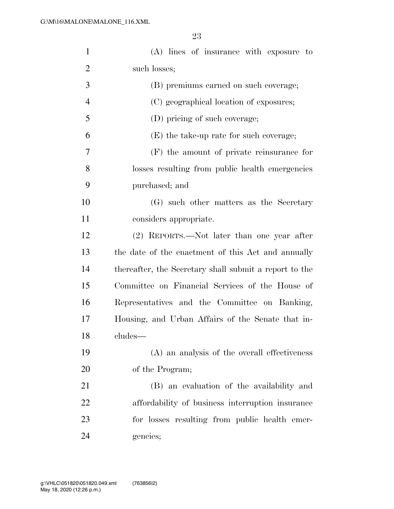| $\mathbf{1}$   | (A) lines of insurance with exposure to                |
|----------------|--------------------------------------------------------|
| 2              | such losses;                                           |
| 3              | (B) premiums earned on such coverage;                  |
| $\overline{4}$ | (C) geographical location of exposures;                |
| 5              | (D) pricing of such coverage;                          |
| 6              | $(E)$ the take-up rate for such coverage;              |
| 7              | $(F)$ the amount of private reinsurance for            |
| 8              | losses resulting from public health emergencies        |
| 9              | purchased; and                                         |
| 10             | (G) such other matters as the Secretary                |
| 11             | considers appropriate.                                 |
| 12             | (2) REPORTS.—Not later than one year after             |
| 13             | the date of the enactment of this Act and annually     |
| 14             | thereafter, the Secretary shall submit a report to the |
| 15             | Committee on Financial Services of the House of        |
| 16             | Representatives and the Committee on Banking,          |
| 17             | Housing, and Urban Affairs of the Senate that in-      |
| 18             | cludes—                                                |
| 19             | (A) an analysis of the overall effectiveness           |
| 20             | of the Program;                                        |
| 21             | (B) an evaluation of the availability and              |
| 22             | affordability of business interruption insurance       |
| 23             | for losses resulting from public health emer-          |
| 24             | gencies;                                               |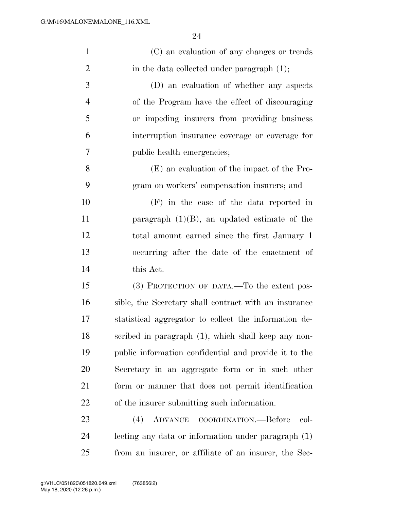| $\mathbf{1}$   | (C) an evaluation of any changes or trends            |
|----------------|-------------------------------------------------------|
| $\overline{2}$ | in the data collected under paragraph (1);            |
| 3              | (D) an evaluation of whether any aspects              |
| $\overline{4}$ | of the Program have the effect of discouraging        |
| 5              | or impeding insurers from providing business          |
| 6              | interruption insurance coverage or coverage for       |
| 7              | public health emergencies;                            |
| 8              | (E) an evaluation of the impact of the Pro-           |
| 9              | gram on workers' compensation insurers; and           |
| 10             | $(F)$ in the case of the data reported in             |
| 11             | paragraph $(1)(B)$ , an updated estimate of the       |
| 12             | total amount earned since the first January 1         |
| 13             | occurring after the date of the enactment of          |
| 14             | this Act.                                             |
| 15             | (3) PROTECTION OF DATA.—To the extent pos-            |
| 16             | sible, the Secretary shall contract with an insurance |
| 17             | statistical aggregator to collect the information de- |
| 18             | scribed in paragraph (1), which shall keep any non-   |
| 19             | public information confidential and provide it to the |
| 20             | Secretary in an aggregate form or in such other       |
| 21             | form or manner that does not permit identification    |
| 22             | of the insurer submitting such information.           |
| 23             | ADVANCE COORDINATION.—Before<br>(4)<br>col-           |
| 24             | lecting any data or information under paragraph (1)   |
|                |                                                       |

from an insurer, or affiliate of an insurer, the Sec-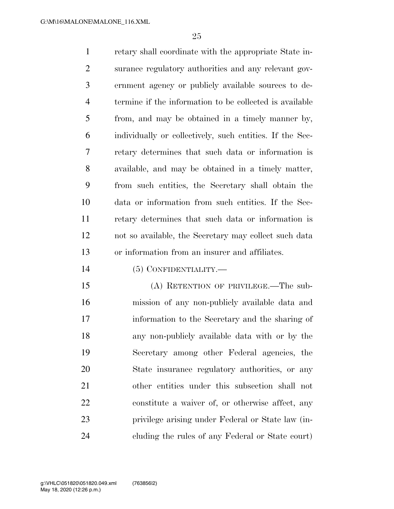retary shall coordinate with the appropriate State in- surance regulatory authorities and any relevant gov- ernment agency or publicly available sources to de- termine if the information to be collected is available from, and may be obtained in a timely manner by, individually or collectively, such entities. If the Sec- retary determines that such data or information is available, and may be obtained in a timely matter, from such entities, the Secretary shall obtain the data or information from such entities. If the Sec- retary determines that such data or information is not so available, the Secretary may collect such data or information from an insurer and affiliates.

(5) CONFIDENTIALITY.—

 (A) RETENTION OF PRIVILEGE.—The sub- mission of any non-publicly available data and information to the Secretary and the sharing of any non-publicly available data with or by the Secretary among other Federal agencies, the State insurance regulatory authorities, or any other entities under this subsection shall not constitute a waiver of, or otherwise affect, any privilege arising under Federal or State law (in-cluding the rules of any Federal or State court)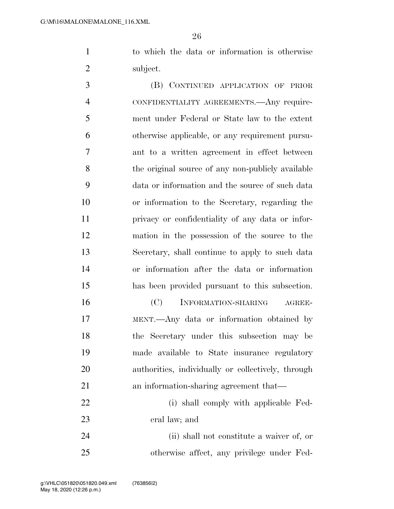to which the data or information is otherwise subject.

 (B) CONTINUED APPLICATION OF PRIOR CONFIDENTIALITY AGREEMENTS.—Any require- ment under Federal or State law to the extent otherwise applicable, or any requirement pursu- ant to a written agreement in effect between the original source of any non-publicly available data or information and the source of such data or information to the Secretary, regarding the privacy or confidentiality of any data or infor- mation in the possession of the source to the Secretary, shall continue to apply to such data or information after the data or information has been provided pursuant to this subsection.

16 (C) INFORMATION-SHARING AGREE- MENT.—Any data or information obtained by the Secretary under this subsection may be made available to State insurance regulatory authorities, individually or collectively, through an information-sharing agreement that—

22 (i) shall comply with applicable Fed-eral law; and

 (ii) shall not constitute a waiver of, or otherwise affect, any privilege under Fed-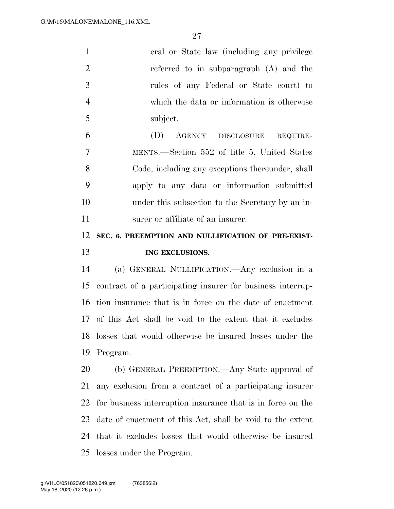| $\mathbf{1}$   | eral or State law (including any privilege                  |
|----------------|-------------------------------------------------------------|
| $\overline{2}$ | referred to in subparagraph (A) and the                     |
| $\mathfrak{Z}$ | rules of any Federal or State court) to                     |
| $\overline{4}$ | which the data or information is otherwise                  |
| 5              | subject.                                                    |
| 6              | (D) AGENCY DISCLOSURE<br>REQUIRE-                           |
| 7              | MENTS.—Section 552 of title 5, United States                |
| 8              | Code, including any exceptions thereunder, shall            |
| 9              | apply to any data or information submitted                  |
| 10             | under this subsection to the Secretary by an in-            |
| 11             | surer or affiliate of an insurer.                           |
| 12             | SEC. 6. PREEMPTION AND NULLIFICATION OF PRE-EXIST-          |
|                |                                                             |
| 13             | ING EXCLUSIONS.                                             |
| 14             | (a) GENERAL NULLIFICATION.—Any exclusion in a               |
| 15             | contract of a participating insurer for business interrup-  |
| 16             | tion insurance that is in force on the date of enactment    |
| 17             | of this Act shall be void to the extent that it excludes    |
| 18             | losses that would otherwise be insured losses under the     |
| 19             | Program.                                                    |
| 20             | (b) GENERAL PREEMPTION.—Any State approval of               |
| 21             | any exclusion from a contract of a participating insurer    |
| 22             | for business interruption insurance that is in force on the |
| 23             | date of enactment of this Act, shall be void to the extent  |
| 24             | that it excludes losses that would otherwise be insured     |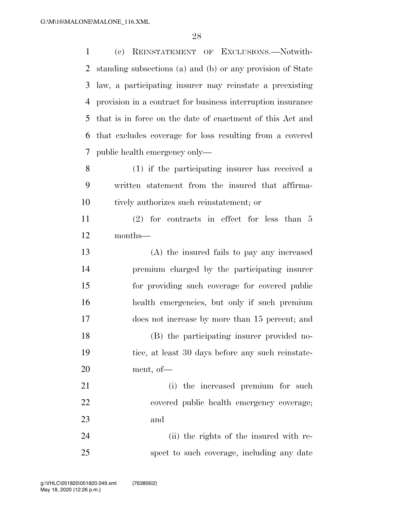(c) REINSTATEMENT OF EXCLUSIONS.—Notwith- standing subsections (a) and (b) or any provision of State law, a participating insurer may reinstate a preexisting provision in a contract for business interruption insurance that is in force on the date of enactment of this Act and that excludes coverage for loss resulting from a covered public health emergency only— (1) if the participating insurer has received a written statement from the insured that affirma- tively authorizes such reinstatement; or (2) for contracts in effect for less than 5 months— (A) the insured fails to pay any increased premium charged by the participating insurer for providing such coverage for covered public health emergencies, but only if such premium does not increase by more than 15 percent; and (B) the participating insurer provided no- tice, at least 30 days before any such reinstate- ment, of— 21 (i) the increased premium for such covered public health emergency coverage; and (ii) the rights of the insured with re-spect to such coverage, including any date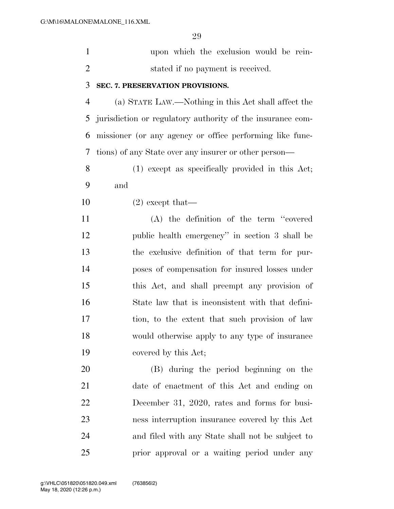|                | upon which the exclusion would be rein- |
|----------------|-----------------------------------------|
| $\overline{2}$ | stated if no payment is received.       |
|                | 3 SEC. 7. PRESERVATION PROVISIONS.      |

 (a) STATE LAW.—Nothing in this Act shall affect the jurisdiction or regulatory authority of the insurance com- missioner (or any agency or office performing like func-tions) of any State over any insurer or other person—

 (1) except as specifically provided in this Act; and

(2) except that—

 (A) the definition of the term ''covered public health emergency'' in section 3 shall be the exclusive definition of that term for pur- poses of compensation for insured losses under this Act, and shall preempt any provision of State law that is inconsistent with that defini- tion, to the extent that such provision of law would otherwise apply to any type of insurance covered by this Act;

 (B) during the period beginning on the date of enactment of this Act and ending on December 31, 2020, rates and forms for busi- ness interruption insurance covered by this Act and filed with any State shall not be subject to prior approval or a waiting period under any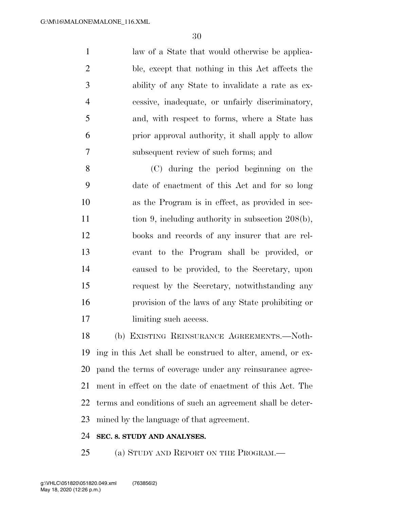law of a State that would otherwise be applica- ble, except that nothing in this Act affects the ability of any State to invalidate a rate as ex- cessive, inadequate, or unfairly discriminatory, and, with respect to forms, where a State has prior approval authority, it shall apply to allow subsequent review of such forms; and

 (C) during the period beginning on the date of enactment of this Act and for so long as the Program is in effect, as provided in sec-11 tion 9, including authority in subsection 208(b), books and records of any insurer that are rel- evant to the Program shall be provided, or caused to be provided, to the Secretary, upon request by the Secretary, notwithstanding any provision of the laws of any State prohibiting or 17 limiting such access.

 (b) EXISTING REINSURANCE AGREEMENTS.—Noth- ing in this Act shall be construed to alter, amend, or ex- pand the terms of coverage under any reinsurance agree- ment in effect on the date of enactment of this Act. The terms and conditions of such an agreement shall be deter-mined by the language of that agreement.

#### **SEC. 8. STUDY AND ANALYSES.**

25 (a) STUDY AND REPORT ON THE PROGRAM.—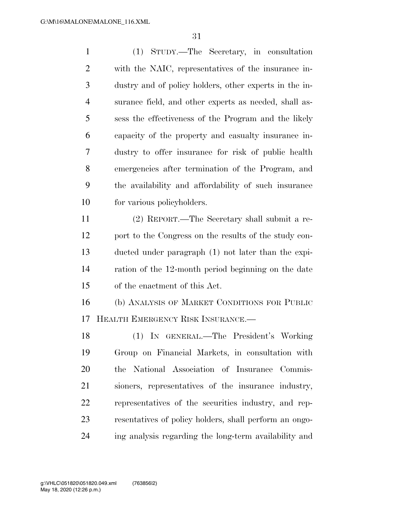(1) STUDY.—The Secretary, in consultation with the NAIC, representatives of the insurance in- dustry and of policy holders, other experts in the in- surance field, and other experts as needed, shall as- sess the effectiveness of the Program and the likely capacity of the property and casualty insurance in- dustry to offer insurance for risk of public health emergencies after termination of the Program, and the availability and affordability of such insurance for various policyholders.

 (2) REPORT.—The Secretary shall submit a re- port to the Congress on the results of the study con- ducted under paragraph (1) not later than the expi- ration of the 12-month period beginning on the date of the enactment of this Act.

 (b) ANALYSIS OF MARKET CONDITIONS FOR PUBLIC HEALTH EMERGENCY RISK INSURANCE.—

 (1) IN GENERAL.—The President's Working Group on Financial Markets, in consultation with the National Association of Insurance Commis- sioners, representatives of the insurance industry, representatives of the securities industry, and rep- resentatives of policy holders, shall perform an ongo-ing analysis regarding the long-term availability and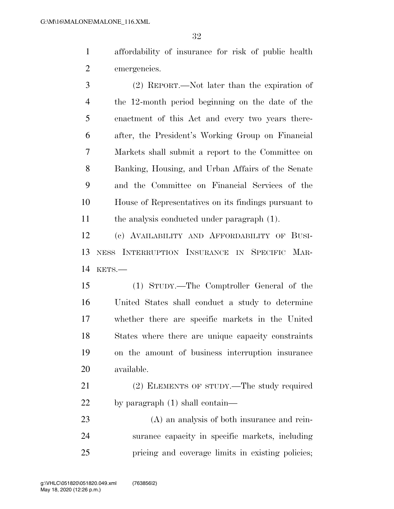affordability of insurance for risk of public health emergencies.

 (2) REPORT.—Not later than the expiration of the 12-month period beginning on the date of the enactment of this Act and every two years there- after, the President's Working Group on Financial Markets shall submit a report to the Committee on Banking, Housing, and Urban Affairs of the Senate and the Committee on Financial Services of the House of Representatives on its findings pursuant to the analysis conducted under paragraph (1).

 (c) AVAILABILITY AND AFFORDABILITY OF BUSI- NESS INTERRUPTION INSURANCE IN SPECIFIC MAR-KETS.—

 (1) STUDY.—The Comptroller General of the United States shall conduct a study to determine whether there are specific markets in the United States where there are unique capacity constraints on the amount of business interruption insurance available.

 (2) ELEMENTS OF STUDY.—The study required by paragraph (1) shall contain—

 (A) an analysis of both insurance and rein- surance capacity in specific markets, including pricing and coverage limits in existing policies;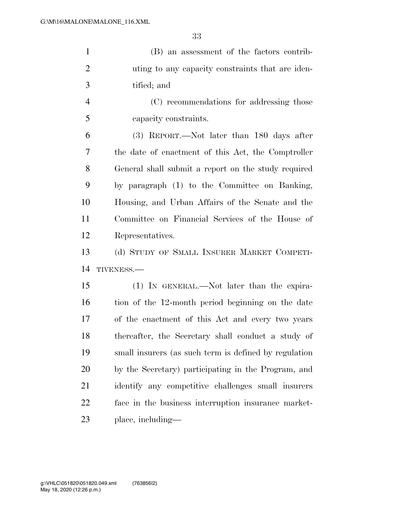(B) an assessment of the factors contrib- uting to any capacity constraints that are iden-tified; and

 (C) recommendations for addressing those capacity constraints.

 (3) REPORT.—Not later than 180 days after the date of enactment of this Act, the Comptroller General shall submit a report on the study required by paragraph (1) to the Committee on Banking, Housing, and Urban Affairs of the Senate and the Committee on Financial Services of the House of Representatives.

 (d) STUDY OF SMALL INSURER MARKET COMPETI-TIVENESS.—

 (1) IN GENERAL.—Not later than the expira- tion of the 12-month period beginning on the date of the enactment of this Act and every two years thereafter, the Secretary shall conduct a study of small insurers (as such term is defined by regulation by the Secretary) participating in the Program, and identify any competitive challenges small insurers face in the business interruption insurance market-place, including—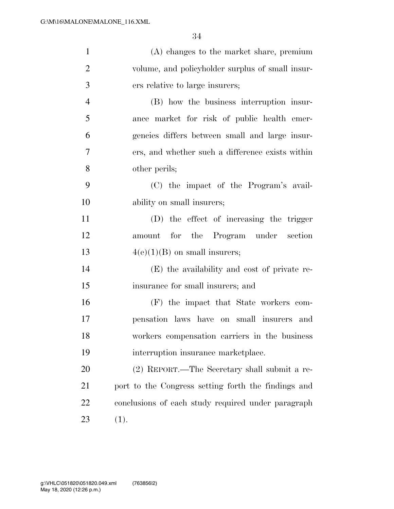| $\mathbf{1}$   | (A) changes to the market share, premium            |
|----------------|-----------------------------------------------------|
| $\overline{2}$ | volume, and policyholder surplus of small insur-    |
| 3              | ers relative to large insurers;                     |
| $\overline{4}$ | (B) how the business interruption insur-            |
| 5              | ance market for risk of public health emer-         |
| 6              | gencies differs between small and large insur-      |
| 7              | ers, and whether such a difference exists within    |
| 8              | other perils;                                       |
| 9              | (C) the impact of the Program's avail-              |
| 10             | ability on small insurers;                          |
| 11             | (D) the effect of increasing the trigger            |
| 12             | amount for the Program under section                |
| 13             | $4(e)(1)(B)$ on small insurers;                     |
| 14             | (E) the availability and cost of private re-        |
| 15             | insurance for small insurers; and                   |
| 16             | (F) the impact that State workers com-              |
| 17             | pensation laws have on small insurers and           |
| 18             | workers compensation carriers in the business       |
| 19             | interruption insurance marketplace.                 |
| 20             | (2) REPORT.—The Secretary shall submit a re-        |
| 21             | port to the Congress setting forth the findings and |
| 22             | conclusions of each study required under paragraph  |
| 23             | (1).                                                |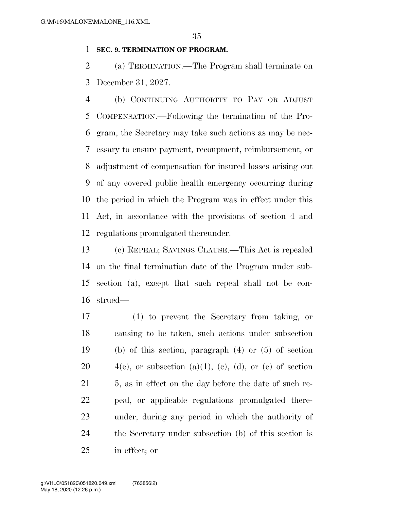#### **SEC. 9. TERMINATION OF PROGRAM.**

 (a) TERMINATION.—The Program shall terminate on December 31, 2027.

 (b) CONTINUING AUTHORITY TO PAY OR ADJUST COMPENSATION.—Following the termination of the Pro- gram, the Secretary may take such actions as may be nec- essary to ensure payment, recoupment, reimbursement, or adjustment of compensation for insured losses arising out of any covered public health emergency occurring during the period in which the Program was in effect under this Act, in accordance with the provisions of section 4 and regulations promulgated thereunder.

 (c) REPEAL; SAVINGS CLAUSE.—This Act is repealed on the final termination date of the Program under sub- section (a), except that such repeal shall not be con-strued—

 (1) to prevent the Secretary from taking, or causing to be taken, such actions under subsection (b) of this section, paragraph (4) or (5) of section  $4(e)$ , or subsection  $(a)(1)$ ,  $(e)$ ,  $(d)$ , or  $(e)$  of section 21 5, as in effect on the day before the date of such re- peal, or applicable regulations promulgated there- under, during any period in which the authority of the Secretary under subsection (b) of this section is in effect; or